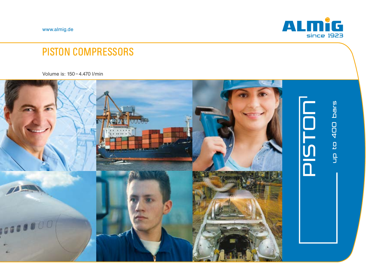www.almig.de



# PISTON COMPRESSORS

Volume is: 150 – 4.470 l/min

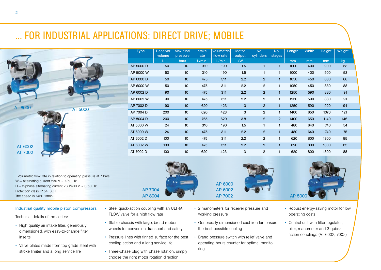# ... FOR INDUSTRIAL APPLICATIONS: DIRECT DRIVE; MOBILE

Geräusch- Geräusch- Gewicht Höhe Breite Länger Länger Länger Länger Länger Länger

volume

pressure

Type Receiver



<sup>1</sup> Volumetric flow rate in relation to operating pressure at 7 bars W = alternating current 230 V  $\sim$  1/50 Hz,  $D = 3$ -phase alternating current 230/400 V ~ 3/50 Hz. Protection class IP 54 ISO F The speed is 1450 1/min

#### Industrial quality mobile piston compressors.

Technical details of the series:

- dimensioned, with easy-to-change filter Klasse Eff 1 für geringe Betriebskosten • High quality air intake filter, generously inserts
- Valve plates made from top grade steel with stroke limiter and a long service life  $\sim$
- Steel quick-action coupling with an ULTRA FLOW valve for a high flow rate

AP 7004 AP 7004 AP 8004 AP 8004

- Stable chassis with large, broad rubber wheels for convenient transport and safety
- Pressure lines with finned surface for the best cooling action and a long service life
- Three-phase plug with phase rotation; simply choose the right motor rotation direction

• 2 manometers for receiver pressure and working pressure **Lebensdauer** 

AP 6000 AP 6000 AP 6002 AP 6002 AP 7002 AP 7002

- Generously dimensioned cast iron fan ensure<br>the best possible cooling the best possible cooling
- Brand pressure switch with relief valve and operating hours counter for optimal monitoring





Width | Height | Weight

Length | Width | Height | Weight

No. | L stages |

 $\mathsf{No.}$ cylinders

L | bars | L/min | L/min | kW | | | mm | mm | mm | kg

Motor-Motor output

47 6000 D 50 10 310 190 1.5 1 1 1000 400 900 53 47 6000 W 50 10 310 190 1.5 1 1 1000 400 900 53 47 8000 50 10 475 311 2.2 2 1 1050 450 830 88 47 8000 W 50 10 475 311 2.2 2 1 1050 450 830 88 47 8002 D 90 10 475 311 2.2 2 1 1250 590 880 91 47 87 880 91 10 475 311 2.2 2 1 1250 590 880 91 41 1250 920 920 920 920 920 920 920 10 620 423 3 2 1 1250 590 920 94 41 1400 650 121 121 121 122 1 1400 650 1070 121 1400 121 1400 121 1400 121 121 121 69 146 1140 650 1400 2 2 3,8 620 765 10 200 AP 8004 D 640 740 54 10 310 190 1.5 1 1 480 640 740 54 47 6000 W 24 10 475 311 2.2 2 1 480 640 740 75 47 6002 D 100 10 475 311 2.2 2 1 620 800 1300 85 47 100 10 475 311 2.2 2 1 620 800 1300 85 67 1300 100 10 620 423 3 2 1 620 800 1300 88

AP 5000 D 50 10 310 190 1,5 1 1 1000 400 900 53 AP 5000 W 50 10 310 190 1,5 1 1 1000 400 900 53 AP 6000 D 50 10 475 311 2,2 2 1 1050 450 830 88 AP 6000 W 50 10 475 311 2,2 2 1 1050 450 830 88 AP 6002 D 90 10 475 311 2,2 2 1 1250 590 880 91 AP 6002 W 90 10 475 311 2,2 2 1 1250 590 880 91 AP 7002 D 90 10 620 423 3 2 1 1250 590 920 94 AP 7004 D 200 10 620 423 3 2 1 1400 650 1070 121 AP 8004 D 200 10 765 620 3,8 2 2 1400 650 1140 146 AT 5000 W 24 10 310 190 1,5 1 1 480 640 740 54 AT 6000 W 24 10 475 311 2,2 2 1 480 640 740 75 AT 6002 D 100 10 475 311 2,2 2 1 620 800 1300 85 AT 6002 W 100 10 475 311 2,2 2 1 620 800 1300 85 AT 7002 D 100 10 620 423 3 2 1 620 800 1300 88

Volumetric | flow rate<sup>1</sup>

dB(A) kg mm mm mm h bar l/min | L/min | L/min | KW | l/min | mm | mm |

 $\mathsf{Intake}$  | rate

412.5000 50 50 10 310 190 1.5 1 1<br>42 5000 50 10 310 190 1.5 1 1<br>42 5000 50 10 475 311 2.2 2 1<br>42 5000 4 50 10 475 311 2.2 2 1<br>42 5000 4 90 10 475 311 2.2 2 1<br>42 5000 4 90 10 475 311 2.2 2 1<br>42 5000 4 90 10 620 423 3 2 1<br>42

- Robust energy-saving motor for low operating costs
- Control unit with filter regulator,  $\frac{1}{2}$  manomotor and  $\sigma$  quion action couplings (AT 6002, 7002) oiler, manometer and 3 quick-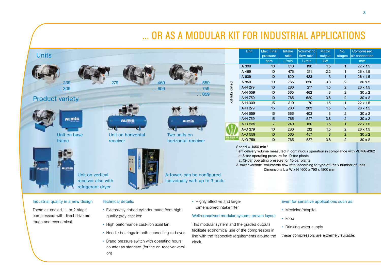#### Unit Max. Final Intake Volumetric Motor No. Compressed **Units** flow rate<sup>1</sup> pressure rate output stages air connection bars | L/min | L/min | kW | | mm 4.309 10 310 190 1.5 1  $22 \times 1.5$ <br>
A 469 10 475 311 2.2 1  $26 \times 1.5$ <br>
A 609 10 620 423 3 1  $26 \times 1.5$ <br>
A 765 10 765 620 3.8 2 30 x 2<br>
A-N 759 10 565 462 3 2 30 x 2<br>
A-N 759 10 765 620 3.8 2 30 x 2<br>
A-N 759 10 765 620 3.8 A 309 10 310 190 1,5 1 22 x 1,5 A 469 10 475 311 2.2 1 26 x 1.5 A 609 10 620 423 3 1 26 x 1.5 … 559 pil-lubricated A 859 10 765 620 3,8 2 30 x 2 … 239 … 279 … 469 oil-lubricated… 309 A-N 279 10 280 217 1,5 2 26 x 1,5 … 609 … 759 A-N 559 10 565 462 3 2 30 x 2 … 859 Product variety A-N 759 10 765 620 3,8 2 30 x 2 A-H 309 15 310 170 1,5 1 22 x 1,5 A-H 279 15 280 203 1,5 2 26 x 1,5 A-H 559 15 565 403 3 2 30 x 2 **ALMIG** A-H 759 15 765 527 3.8 2 30 x 2 ALMÍG **ALMIG** A-O 239 7 240 150 1,5 1 22 x 1,5 A-O 279 10 280 212 1,5 2 26 x 1,5 Unit on base Two units on Unit on horizontal A-O 559 10 565 457 3 2 30 x 2 horizontal receiver A-O 759 10 765 587 3,8 2 30 x 2 frame receiver 1 eff. delivery volume measured in continuous operation in compliance with VDMA-4362 at 8-bar operating pressure for 10-bar plants at 12-bar operating pressure for 15-bar plants A-tower version: Volumetric flow rate: according to type of unit x number of units **ALMIG** stmit Dimensions L x W x H 1600 x 790 x 1800 mm Unit on vertical A-tower, can be configured receiver also with individually with up to 3 units refrigerant dryer

#### Industrial quality in a new design

These air-cooled, 1- or 2-stage compressors with direct drive are tough and economical.

### Technical details:

on)

- Extensively ribbed cylinder made from high quality grey cast iron
- High performance cast-iron axial fan
- Needle bearings in both connecting-rod eyes
- Brand pressure switch with operating hours counter as standard (for the on-receiver versi-

• Highly effective and largedimensioned intake filter

### Well-conceived modular system, proven layout

... OR AS A MODULAR KIT FOR INDUSTRIAL APPLICATIONS

This modular system and the graded outputs facilitate economical use of the compressors in line with the respective requirements around the clock.

#### Even for sensitive applications such as:

- Medicine/hospital
- Food
- Drinking water supply

these compressors are extremely suitable.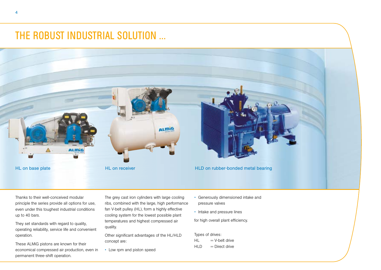# THE ROBUST INDUSTRIAL SOLUTION ...



Thanks to their well-conceived modular principle the series provide all options for use, even under this toughest industrial conditions up to 40 bars.

They set standards with regard to quality, operating reliability, service life and convenient operation.

These ALMiG pistons are known for their economical compressed air production, even in permanent three-shift operation.

The grey cast iron cylinders with large cooling ribs, combined with the large, high performance fan V-belt pulley (HL), form a highly effective cooling system for the lowest possible plant temperatures and highest compressed air quality.

Other significant advantages of the HL/HLD concept are:

• Low rpm and piston speed

- Generously dimensioned intake and pressure valves
- Intake and pressure lines

for high overall plant efficiency.

Types of drives:  $HL = V$ -belt drive  $HLD = Direct$  drive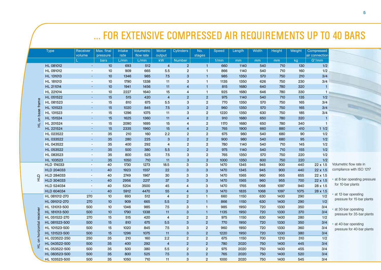|                |                   |                    |                        |                       |                                |                        |                  |                |       |        |              |        |        | FOR EXTENSIVE COMPRESSED AIR REQUIREMENTS UP TO 40 BARS |
|----------------|-------------------|--------------------|------------------------|-----------------------|--------------------------------|------------------------|------------------|----------------|-------|--------|--------------|--------|--------|---------------------------------------------------------|
|                | <b>Type</b>       | Receiver<br>volume | Max. final<br>pressure | <b>Intake</b><br>rate | <b>Volumetric</b><br>flow rate | <b>Motor</b><br>output | <b>Cylinders</b> | No.<br>stages  | Speed | Length | <b>Width</b> | Height | Weight | Compressed<br>air connection                            |
|                |                   |                    | <b>bars</b>            | L/min                 | L/min                          | kW                     | Number           |                | 1/min | mm     | mm           | mm     | kg     | G"/mm                                                   |
|                | HL 081012         | $\omega$           | 10 <sup>10</sup>       | 693                   | 512                            | $\overline{4}$         | $\overline{2}$   | $\mathbf{1}$   | 660   | 1140   | 540          | 710    | 130    | 1/2                                                     |
|                | HL 091012         | $\sim$             | 10                     | 909                   | 665                            | 5.5                    | $\overline{2}$   | $\mathbf{1}$   | 866   | 1140   | 540          | 710    | 160    | 1/2                                                     |
|                | HL 131013         | $\sim$             | 10 <sup>10</sup>       | 1346                  | 985                            | 7.5                    | $\mathbf{3}$     | $\mathbf{1}$   | 985   | 1350   | 570          | 750    | 210    | 3/4                                                     |
|                | HL 181013         | $\sim$             | 10                     | 1790                  | 1338                           | 11                     | 3                | $\mathbf{1}$   | 1135  | 1350   | 626          | 750    | 230    | 3/4                                                     |
|                | HL 211014         | $\sim$             | 10                     | 1941                  | 1456                           | 11                     | $\overline{4}$   | $\mathbf{1}$   | 815   | 1680   | 640          | 780    | 320    | $\overline{1}$                                          |
|                | HL 221014         | $\sim$             | 10                     | 2227                  | 1640                           | 15                     | $\overline{4}$   | $\mathbf{1}$   | 925   | 1680   | 646          | 780    | 330    | $\overline{1}$                                          |
|                | HL 051522         | $\sim$             | 15                     | 515                   | 420                            | $\overline{4}$         | 2                | $\overline{2}$ | 975   | 1140   | 540          | 710    | 135    | 1/2                                                     |
| frame          | HL 081523         | $\blacksquare$     | 15                     | 810                   | 675                            | 5.5                    | $\mathbf{3}$     | $\overline{2}$ | 770   | 1350   | 570          | 750    | 165    | 3/4                                                     |
|                | HL 101523         | $\sim$             | 15                     | 1020                  | 845                            | 7.5                    | $\mathbf{3}$     | $\overline{2}$ | 960   | 1350   | 570          | 750    | 165    | 3/4                                                     |
| base           | HL 131523         | $\sim$             | 15                     | 1296                  | 1075                           | 11                     | 3                | $\overline{2}$ | 1220  | 1350   | 630          | 750    | 185    | 3/4                                                     |
|                | HL 151524         | $\sim$             | 15                     | 1625                  | 1360                           | 11                     | $\overline{4}$   | $\overline{2}$ | 910   | 1680   | 650          | 780    | 320    | $\overline{1}$                                          |
|                | HL 201524         | $\sim$             | 15                     | 2090                  | 1695                           | 15                     | $\overline{4}$   | $\overline{2}$ | 1170  | 1680   | 650          | 780    | 340    | $\overline{1}$                                          |
|                | HL 221524         | $\sim$             | 15                     | 2335                  | 1960                           | 15                     | $\overline{4}$   | $\overline{2}$ | 765   | 1900   | 660          | 880    | 410    | 11/2                                                    |
|                | HL 023522         | $\sim$             | 35                     | 210                   | 160                            | 2.2                    | $\overline{2}$   | $\overline{2}$ | 675   | 980    | 540          | 680    | 90     | 1/2                                                     |
|                | HL 033522         | $\sim$             | 35                     | 280                   | 225                            | 3                      | $\overline{2}$   | $\overline{2}$ | 900   | 980    | 540          | 680    | 95     | 1/2                                                     |
|                | HL 043522         | $\sim$             | 35                     | 400                   | 292                            | $\overline{4}$         | $\overline{2}$   | $\overline{2}$ | 780   | 1140   | 540          | 710    | 145    | 1/2                                                     |
|                | HL 053522         | $\blacksquare$     | 35                     | 500                   | 380                            | 5.5                    | $\overline{2}$   | $\overline{2}$ | 975   | 1140   | 540          | 710    | 155    | 1/2                                                     |
|                | HL 083523         | $\sim$             | 35                     | 800                   | 525                            | 7.5                    | 3                | $\overline{2}$ | 765   | 1350   | 570          | 750    | 220    | 1/2                                                     |
|                | HL 103523         |                    | 35                     | 1050                  | 710                            | 11                     | $\mathbf{3}$     | $\overline{2}$ | 1000  | 1350   | 600          | 750    | 220    | 1/2                                                     |
|                | <b>HLD 174033</b> | $\blacksquare$     | 40                     | 1730                  | 1273                           | 18.5                   | 3                | 3              | 1470  | 1345   | 945          | 900    | 440    | 22 x 1.5                                                |
|                | HLD 204033        | $\omega$           | 40                     | 1923                  | 1557                           | 22                     | 3                | $\mathbf{3}$   | 1470  | 1345   | 945          | 900    | 440    | 22 x 1.5                                                |
| 읖              | HLD 284033        | $\sim$             | 40                     | 2749                  | 1967                           | 30                     | 3                | 3              | 1470  | 1565   | 960          | 955    | 655    | 22 x 1.5                                                |
|                | HLD 304033        | $\omega$           | 40                     | 2956                  | 2217                           | 37                     | 3                | $\mathbf{3}$   | 1470  | 1565   | 960          | 955    | 700    | $22 \times 1.5$                                         |
|                | HLD 524034        | $\blacksquare$     | 40                     | 5204                  | 3500                           | 45                     | $\overline{4}$   | 3              | 1470  | 1765   | 1068         | 1097   | 940    | 28 x 1.5                                                |
|                | <b>HLD 604034</b> | $\sim$             | 40                     | 5912                  | 4470                           | 55                     | $\overline{4}$   | $\mathbf{3}$   | 1470  | 1835   | 1068         | 1097   | 1075   | 28 x 1.5                                                |
|                | HL 081012-270     | 270                | 10                     | 693                   | 512                            | $\overline{4}$         | $\overline{2}$   | $\overline{1}$ | 660   | 1150   | 630          | 1400   | 290    | 1/2                                                     |
| receive        | HL 091012-270     | 270                | 10                     | 909                   | 665                            | 5.5                    | $\overline{2}$   | $\mathbf{1}$   | 866   | 1150   | 630          | 1400   | 290    | 1/2                                                     |
|                | HL 131013-500     | 500                | 10                     | 1346                  | 985                            | 7.5                    | 3                | $\overline{1}$ | 985   | 1950   | 720          | 1330   | 350    | 3/4                                                     |
|                | HL 181013-500     | 500                | 10                     | 1790                  | 1338                           | 11                     | 3                | $\mathbf{1}$   | 1135  | 1950   | 720          | 1330   | 370    | 3/4                                                     |
|                | HL 051522-270     | 270                | 15                     | 515                   | 420                            | $\overline{4}$         | $\overline{2}$   | $\overline{2}$ | 975   | 1150   | 630          | 1400   | 280    | 1/2                                                     |
| $\overline{a}$ | HL 081523-500     | 500                | 15                     | 810                   | 675                            | 5.5                    | 3                | $\overline{2}$ | 770   | 1950   | 720          | 1330   | 350    | 3/4                                                     |
|                | HL 101523-500     | 500                | 15                     | 1020                  | 845                            | 7.5                    | 3                | $\overline{2}$ | 960   | 1950   | 720          | 1330   | 360    | 3/4                                                     |
| horizon        | HL 131523-500     | 500                | 15                     | 1296                  | 1075                           | 11                     | 3                | $\overline{2}$ | 1220  | 1950   | 720          | 1330   | 380    | 3/4                                                     |
| $\overline{5}$ | HL 023522-250     | 250                | 35                     | 210                   | 160                            | 2.2                    | $\overline{2}$   | $\overline{2}$ | 675   | 1150   | 700          | 1210   | 310    | 1/2                                                     |
| 로              | HL 043522-500     | 500                | 35                     | 400                   | 292                            | $\overline{4}$         | $\overline{2}$   | $\overline{2}$ | 780   | 2020   | 750          | 1400   | 445    | 3/4                                                     |
|                | HL 053522-500     | 500                | 35                     | 500                   | 380                            | 5.5                    | $\overline{2}$   | $\overline{2}$ | 975   | 2020   | 750          | 1400   | 455    | 3/4                                                     |
|                | HL 083523-500     | 500                | 35                     | 800                   | 525                            | 7.5                    | 3                | $\overline{2}$ | 765   | 2020   | 750          | 1400   | 520    | 3/4                                                     |
|                | HL 103523-500     | 500                | 35                     | 1050                  | 710                            | 11                     | 3                | $\overline{2}$ | 1000  | 2020   | 750          | 1400   | 545    | 3/4                                                     |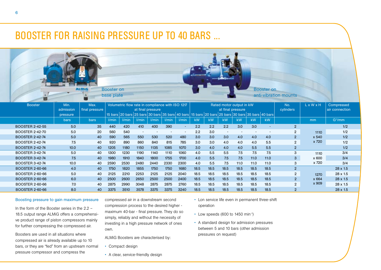## BOOSTER FOR RAISING PRESSURE UP TO 40 BARS ...



|                        | <u>pual</u> | <u>paro</u> | ,,,,,,,,, | -------- | ----------     | --------- | --------- | --------- | <b>NVV</b> | <b>NV</b> | <b>NVV</b>               | <b>NVV</b> | <b>NVV</b>               | <b>NV</b>                |                | .     | $\cup$ / $\cup$ $\cup$ $\cup$ |  |
|------------------------|-------------|-------------|-----------|----------|----------------|-----------|-----------|-----------|------------|-----------|--------------------------|------------|--------------------------|--------------------------|----------------|-------|-------------------------------|--|
| <b>BOOSTER 2-42-55</b> | 5.0         | 35          | 440       | 420      | 410            | 400       | 390       | $\sim$    | 2.2        | 2.2       | 2.2                      | 3.0        | 3.0                      | $\overline{\phantom{a}}$ | $\overline{2}$ |       | 1/2                           |  |
| <b>BOOSTER 2-42-70</b> | 5.0         | 20          | 560       | 540      | $\overline{a}$ |           |           |           | 2.2        | 3.0       | $\overline{\phantom{0}}$ |            | $\overline{\phantom{a}}$ |                          | $\overline{2}$ | 1110  | 1/2                           |  |
| <b>BOOSTER 2-42-74</b> | 5.0         | 40          | 590       | 565      | 550            | 530       | 520       | 480       | 3.0        | 3.0       | 3.0                      | 4.0        | 4.0                      | 4.0                      | $\overline{2}$ | x 540 | 1/2                           |  |
| <b>BOOSTER 2-42-74</b> | 7.5         | 40          | 920       | 890      | 860            | 840       | 815       | 785       | 3.0        | 3.0       | 4.0                      | 4.0        | 4.0                      | 5.5                      | $\overline{2}$ | x 720 | 1/2                           |  |
| <b>BOOSTER 2-42-74</b> | 10.0        | 40          | 1205      | 1180     | 1150           | 1135      | 1085      | 1070      | 3.0        | 4.0       | 4.0                      | 4.0        | 5.5                      | 5.5                      | $\overline{2}$ |       | 1/2                           |  |
| <b>BOOSTER 3-42-74</b> | 5.0         | 40          | 1300      | 1230     | 1190           | 1140      | 1110      | 1060      | 4.0        | 5.5       | 5.5                      | 7.5        | 7.5                      | 7.5                      |                | 1110  | 3/4                           |  |
| <b>BOOSTER 3-42-74</b> | 7.5         | 40          | 1980      | 1910     | 1840           | 1800      | 1755      | 1700      | 4.0        | 5.5       | 7.5                      | 7.5        | 11.0                     | 11.0                     | 3              | x 600 | 3/4                           |  |
| <b>BOOSTER 3-42-74</b> | 10.0        | 40          | 2590      | 2530     | 2480           | 2440      | 2330      | 2300      | 4.0        | 5.5       | 7.5                      | 11.0       | 11.0                     | 11.0                     |                | x 720 | 3/4                           |  |
| <b>BOOSTER 2-60-66</b> | 4.0         | 40          | 1750      | 1820     | 1855           | 1750      | 1750      | 1680      | 18.5       | 18.5      | 18.5                     | 18.5       | 18.5                     | 18.5                     | $\overline{2}$ |       | $28 \times 1.5$               |  |
| BOOSTER 2-60-66        | 5.0         | 40          | 2125      | 2210     | 2253           | 2125      | 2125      | 2040      | 18.5       | 18.5      | 18.5                     | 18.5       | 18.5                     | 18.5                     | $\overline{2}$ | 1270  | $28 \times 1.5$               |  |
| <b>BOOSTER 2-60-66</b> | 6.0         | 40          | 2500      | 2600     | 2650           | 2500      | 2500      | 2400      | 18.5       | 18.5      | 18.5                     | 18.5       | 18.5                     | 18.5                     | $\overline{2}$ | x 664 | $28 \times 1.5$               |  |
| <b>BOOSTER 2-60-66</b> | 7.0         | 40          | 2875      | 2990     | 3048           | 2875      | 2875      | 2760      | 18.5       | 18.5      | 18.5                     | 18.5       | 18.5                     | 18.5                     | $\mathfrak{p}$ | x 909 | $28 \times 1.5$               |  |
| <b>BOOSTER 2-60-66</b> | 8.0         | 40          | 3375      | 3510     | 3578           | 3375      | 3375      | 3240      | 18.5       | 18.5      | 18.5                     | 18.5       | 18.5                     | 18.5                     |                |       | $28 \times 1.5$               |  |

#### Boosting pressure to gain maximum pressure

In the form of the Booster series in the 2.2 – 18.5 output range ALMiG offers a comprehensive product range of piston compressors mainly for further compressing the compressed air.

Boosters are used in all situations where compressed air is already available up to 10 bars, or they are "fed" from an upstream normal pressure compressor and compress the

compressed air in a downstream second compression process to the desired higher maximum 40-bar - final pressure. They do so simply, reliably and without the necessity of investing in a high pressure network of ones own.

ALMiG Boosters are characterised by:

- Compact design
- A clear, service-friendly design
- Lon service life even in permanent three-shift operation
- Low speeds (600 to 1450 min-1)
- A standard design for admission pressures between 5 and 10 bars (other admission pressures on request)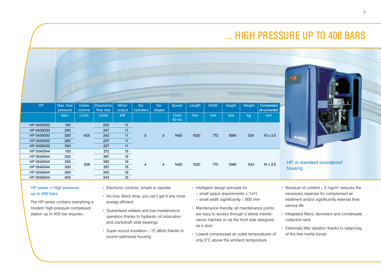# ... HIGH PRESSURE UP TO 400 BARS

|            |                        |                  |                         |                 |                  |                |                |        |       |        |        |                              | 180                        |
|------------|------------------------|------------------|-------------------------|-----------------|------------------|----------------|----------------|--------|-------|--------|--------|------------------------------|----------------------------|
| <b>HP</b>  | Max. final<br>pressure | Intake<br>volume | Volumetric<br>flow rate | Motor<br>output | No.<br>cylinders | No.<br>stages  | Speed          | Length | Width | Height | Weight | Compressed<br>air connection |                            |
|            | bars                   | L/min            | L/min                   | kW              |                  |                | 1/min<br>50 Hz | mm     | mm    | mm     | kg     | mm                           |                            |
| HP 0435033 | 150                    |                  | 252                     | 11              | $\mathbf{3}$     | 3 <sup>°</sup> | 1450           |        |       |        |        |                              |                            |
| HP 0435033 | 200                    |                  | 247                     | 11              |                  |                |                | 1520   | 772   | 1566   | 524    | $10 \times 2.5$              |                            |
| HP 0435033 | 250                    | 425              | 242                     | 11              |                  |                |                |        |       |        |        |                              |                            |
| HP 0435033 | 300                    |                  | 237                     | 11              |                  |                |                |        |       |        |        |                              |                            |
| HP 0435033 | 350                    |                  | 227                     | 11              |                  |                |                |        |       |        |        |                              |                            |
| HP 0540044 | 150                    |                  | 372                     | 15              |                  |                |                |        |       |        |        |                              |                            |
| HP 0540044 | 200                    |                  | 367                     | 15              |                  |                |                |        |       |        |        |                              |                            |
| HP 0540044 | 250                    | 508              | 362                     | 15              | $\overline{4}$   | $\overline{4}$ | 1450           | 1520   | 772   | 1566   | 524    | $10 \times 2.5$              | HP, in standard soundproof |
| HP 0540044 | 300                    |                  | 357                     | 15              |                  |                |                |        |       |        |        |                              | housing                    |
| HP 0540044 | 350                    |                  | 350                     | 15              |                  |                |                |        |       |        |        |                              |                            |
| HP 0540044 | 400                    |                  | 343                     | 15              |                  |                |                |        |       |        |        |                              |                            |

### HP series = High pressure up to 400 bars

The HP series contains everything a modern high-pressure compressor station up to 400 bar requires:

- Electronic controls, simple to operate
- No-loss direct drive, you can't get it any more energy-efficient
- Guaranteed reliable and low-maintenance operation thanks to hydraulic oil lubrication and crankshaft slide bearings
- Super sound insulation < 72 dB(A) thanks to sound-optimised housing
- Intelligent design principle for
	- $-$  small space requirements ( $\leq 1$ m<sup>2</sup>)
- $-$  small width significantly  $< 800$  mm
- Maintenance-friendly, all maintenance points are easy to access through a lateral maintenance hatches or via the front side designed as a door
- Lowest compressed air outlet temperatures of only 5°C above the ambient temperature
- Residual oil content  $\leq$  3 mg/m<sup>3</sup> reduces the necessary expense for compressed air treatment and/or significantly extends their service life
- Integrated filters, demisters and condensate collection tank
- Extremely little vibration thanks to balancing of the free inertia forces